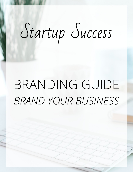# Startup Success

## BRANDING GUIDE *BRAND YOUR BUSINESS*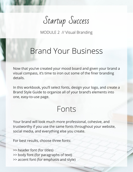Startup Success

### Brand Your Business

Now that you've created your mood board and given your brand a visual compass, it's time to iron out some of the finer branding details.

In this workbook, you'll select fonts, design your logo, and create a Brand Style Guide to organize all of your brand's elements into one, easy-to-use page.

### Fonts

Your brand will look much more professional, cohesive, and trustworthy if you use the same fonts throughout your website, social media, and everything else you create.

For best results, choose three fonts:

>> header font (for titles)

- >> body font (for paragraphs of text)
- >> accent font (for emphasis and style)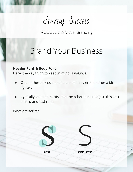Startup Success

### Brand Your Business

#### **Header Font & Body Font**

Here, the key thing to keep in mind is *balance.*

- One of these fonts should be a bit heavier, the other a bit lighter.
- Typically, one has serifs, and the other does not (but this isn't a hard and fast rule).

What are serifs?

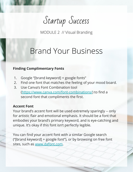Startup Success

### Brand Your Business

#### **Finding Complimentary Fonts**

- 1. Google "[brand keyword] + google fonts"
- 2. Find one font that matches the feeling of your mood board.
- 3. Use Canva's Font Combination tool [\(https://www.canva.com/font-combinations/](https://www.canva.com/font-combinations/)) to find a second font that compliments the first.

#### **Accent Font**

Your brand's accent font will be used extremely sparingly -- only for artistic flair and emotional emphasis. It should be a font that embodies your brand's primary keyword, and is eye-catching and unique. It's okay if this font isn't perfectly legible.

You can find your accent font with a similar Google search ("[brand keyword] + google font"), or by browsing on free font sites, such as [www.dafont.com.](http://www.dafont.com)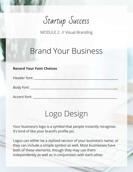Startup Success

### Brand Your Business

#### **Record Your Font Choices**

Header font: \_\_\_\_\_\_\_\_\_\_\_\_\_\_\_\_\_\_\_\_\_\_\_\_\_\_\_\_\_\_\_\_\_\_\_\_\_\_\_\_\_\_\_\_\_\_\_\_\_\_\_\_\_\_

Body font: \_\_\_\_\_\_\_\_\_\_\_\_\_\_\_\_\_\_\_\_\_\_\_\_\_\_\_\_\_\_\_\_\_\_\_\_\_\_\_\_\_\_\_\_\_\_\_\_\_\_\_\_\_\_\_\_

Accent font: \_\_\_\_\_\_\_\_\_\_\_\_\_\_\_\_\_\_\_\_\_\_\_\_\_\_\_\_\_\_\_\_\_\_\_\_\_\_\_\_\_\_\_\_\_\_\_\_\_\_\_\_\_\_

### Logo Design

Your business's logo is a symbol that people instantly recognize. It's kind of like your brand's profile pic.

Logos can either be a stylized version of your business's name, or they can include a simple symbol as well. Most businesses have both of these elements, though they may use them independently as well as in conjunction with each other.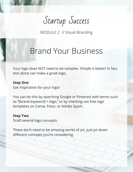Startup Success

### Brand Your Business

Your logo does NOT need to be complex. Simple is better! In fact, text alone can make a great logo.

#### **Step One**

Get inspiration for your logo!

You can do this by searching Google or Pinterest with terms such as "[brand keyword] + logo," or by checking out free logo templates on Canva, Fotor, or Adobe Spark.

#### **Step Two**

Draft several logo concepts.

These don't need to be amazing works of art. Just jot down different concepts you're considering.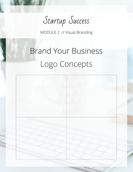Startup Success

### Brand Your Business Logo Concepts

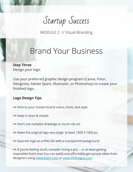Startup Success

### Brand Your Business

#### **Step Three** Design your logo.

Use your preferred graphic design program (Canva, Fotor, Designsta, Adobe Spark, Illustrator, or Photoshop) to create your finished logo.

#### **Logo Design Tips**

- **>>** Stick to your chosen brand colors, fonts, and style.
- **>>** Keep it clean & simple.
- **>>** Don't use complex drawings or much clip art.
- **>>** Make the original logo very large: at least 1000 X 1000 px.
- **>>** Save the logo as a PNG file with a transparent background.

**>>** If you're feeling stuck, consider hiring a pro -- or at least getting inspiration from one! You can easily and affordably get sample ideas from designers using [www.fiverr.com](http://www.fiverr.com) or [www.99designs.com](http://www.99designs.com).